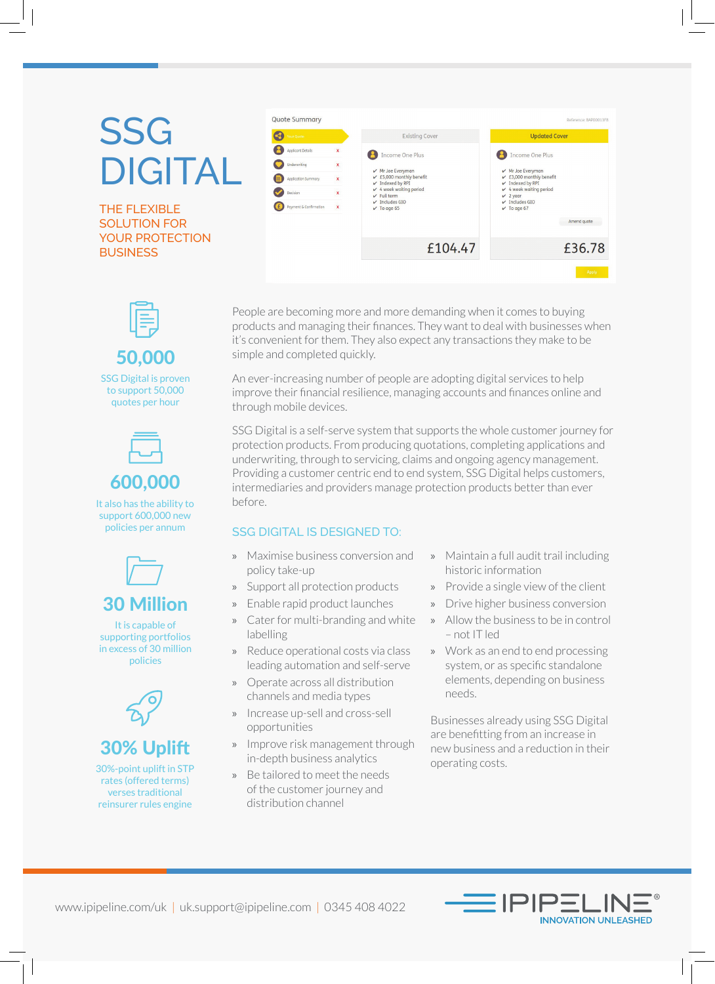## SSG DIGITAL

THE FLEXIBLE SOLUTION FOR YOUR PROTECTION **BUSINESS** 



50,000

SSG Digital is proven to support 50,000 quotes per hour



It also has the ability to support 600,000 new policies per annum



It is capable of supporting portfolios in excess of 30 million policies





30%-point uplift in STP rates (offered terms) verses traditional reinsurer rules engine



People are becoming more and more demanding when it comes to buying products and managing their finances. They want to deal with businesses when it's convenient for them. They also expect any transactions they make to be simple and completed quickly.

An ever-increasing number of people are adopting digital services to help improve their financial resilience, managing accounts and finances online and through mobile devices.

SSG Digital is a self-serve system that supports the whole customer journey for protection products. From producing quotations, completing applications and underwriting, through to servicing, claims and ongoing agency management. Providing a customer centric end to end system, SSG Digital helps customers, intermediaries and providers manage protection products better than ever before.

## SSG DIGITAL IS DESIGNED TO:

- » Maximise business conversion and policy take-up
- » Support all protection products
- » Enable rapid product launches
- » Cater for multi-branding and white labelling
- » Reduce operational costs via class leading automation and self-serve
- » Operate across all distribution channels and media types
- » Increase up-sell and cross-sell opportunities
- » Improve risk management through in-depth business analytics
- » Be tailored to meet the needs of the customer journey and distribution channel
- » Maintain a full audit trail including historic information
- » Provide a single view of the client
- » Drive higher business conversion
- Allow the business to be in control – not IT led
- » Work as an end to end processing system, or as specific standalone elements, depending on business needs.

Businesses already using SSG Digital are benefitting from an increase in new business and a reduction in their operating costs.